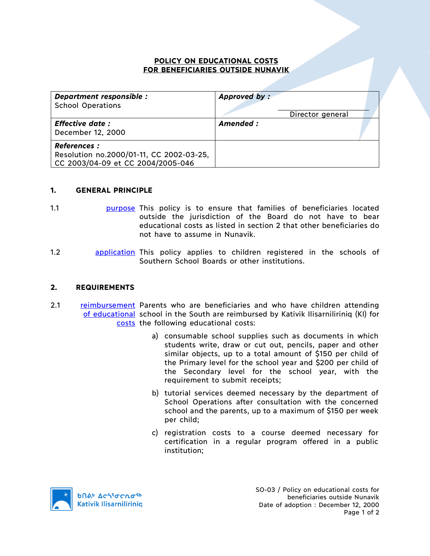## **POLICY ON EDUCATIONAL COSTS FOR BENEFICIARIES OUTSIDE NUNAVIK**

| Department responsible :<br><b>School Operations</b>                                                 | Approved by:<br>Director general |
|------------------------------------------------------------------------------------------------------|----------------------------------|
| <b>Effective date:</b><br>December 12, 2000                                                          | Amended:                         |
| <b>References :</b><br>Resolution no.2000/01-11, CC 2002-03-25,<br>CC 2003/04-09 et CC 2004/2005-046 |                                  |

## **1. GENERAL PRINCIPLE**

- 1.1 **purpose** This policy is to ensure that families of beneficiaries located outside the jurisdiction of the Board do not have to bear educational costs as listed in section 2 that other beneficiaries do not have to assume in Nunavik.
- 1.2 **application** This policy applies to children registered in the schools of Southern School Boards or other institutions.

## **2. REQUIREMENTS**

- 2.1 reimbursement Parents who are beneficiaries and who have children attending of educational school in the South are reimbursed by Kativik Ilisarniliriniq (KI) for costs the following educational costs:
	- a) consumable school supplies such as documents in which students write, draw or cut out, pencils, paper and other similar objects, up to a total amount of \$150 per child of the Primary level for the school year and \$200 per child of the Secondary level for the school year, with the requirement to submit receipts;
	- b) tutorial services deemed necessary by the department of School Operations after consultation with the concerned school and the parents, up to a maximum of \$150 per week per child;
	- c) registration costs to a course deemed necessary for certification in a regular program offered in a public institution;